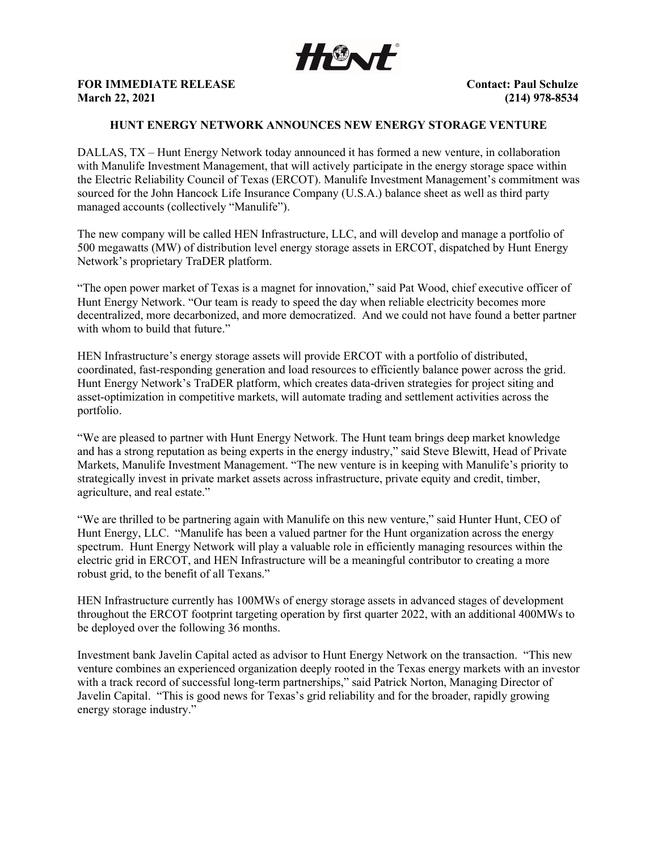

FOR IMMEDIATE RELEASE **CONTACT SECONDER SERVICES** CONTACT: Paul Schulze March 22, 2021 (214) 978-8534

## HUNT ENERGY NETWORK ANNOUNCES NEW ENERGY STORAGE VENTURE

DALLAS, TX – Hunt Energy Network today announced it has formed a new venture, in collaboration with Manulife Investment Management, that will actively participate in the energy storage space within the Electric Reliability Council of Texas (ERCOT). Manulife Investment Management's commitment was sourced for the John Hancock Life Insurance Company (U.S.A.) balance sheet as well as third party managed accounts (collectively "Manulife").

The new company will be called HEN Infrastructure, LLC, and will develop and manage a portfolio of 500 megawatts (MW) of distribution level energy storage assets in ERCOT, dispatched by Hunt Energy Network's proprietary TraDER platform.

"The open power market of Texas is a magnet for innovation," said Pat Wood, chief executive officer of Hunt Energy Network. "Our team is ready to speed the day when reliable electricity becomes more decentralized, more decarbonized, and more democratized. And we could not have found a better partner with whom to build that future."

HEN Infrastructure's energy storage assets will provide ERCOT with a portfolio of distributed, coordinated, fast-responding generation and load resources to efficiently balance power across the grid. Hunt Energy Network's TraDER platform, which creates data-driven strategies for project siting and asset-optimization in competitive markets, will automate trading and settlement activities across the portfolio.

"We are pleased to partner with Hunt Energy Network. The Hunt team brings deep market knowledge and has a strong reputation as being experts in the energy industry," said Steve Blewitt, Head of Private Markets, Manulife Investment Management. "The new venture is in keeping with Manulife's priority to strategically invest in private market assets across infrastructure, private equity and credit, timber, agriculture, and real estate."

"We are thrilled to be partnering again with Manulife on this new venture," said Hunter Hunt, CEO of Hunt Energy, LLC. "Manulife has been a valued partner for the Hunt organization across the energy spectrum. Hunt Energy Network will play a valuable role in efficiently managing resources within the electric grid in ERCOT, and HEN Infrastructure will be a meaningful contributor to creating a more robust grid, to the benefit of all Texans."

HEN Infrastructure currently has 100MWs of energy storage assets in advanced stages of development throughout the ERCOT footprint targeting operation by first quarter 2022, with an additional 400MWs to be deployed over the following 36 months.

Investment bank Javelin Capital acted as advisor to Hunt Energy Network on the transaction. "This new venture combines an experienced organization deeply rooted in the Texas energy markets with an investor with a track record of successful long-term partnerships," said Patrick Norton, Managing Director of Javelin Capital. "This is good news for Texas's grid reliability and for the broader, rapidly growing energy storage industry."